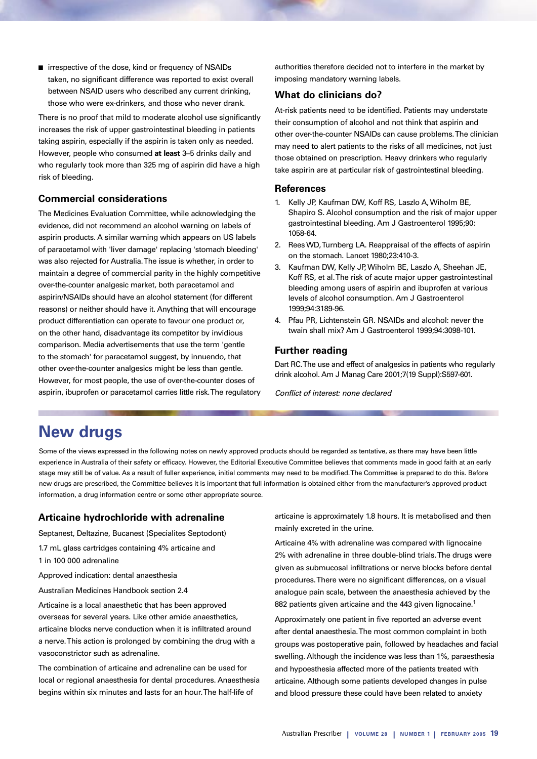■ irrespective of the dose, kind or frequency of NSAIDs taken, no significant difference was reported to exist overall between NSAID users who described any current drinking, those who were ex-drinkers, and those who never drank.

There is no proof that mild to moderate alcohol use significantly increases the risk of upper gastrointestinal bleeding in patients taking aspirin, especially if the aspirin is taken only as needed. However, people who consumed **at least** 3–5 drinks daily and who regularly took more than 325 mg of aspirin did have a high risk of bleeding.

## **Commercial considerations**

The Medicines Evaluation Committee, while acknowledging the evidence, did not recommend an alcohol warning on labels of aspirin products. A similar warning which appears on US labels of paracetamol with 'liver damage' replacing 'stomach bleeding' was also rejected for Australia. The issue is whether, in order to maintain a degree of commercial parity in the highly competitive over-the-counter analgesic market, both paracetamol and aspirin/NSAIDs should have an alcohol statement (for different reasons) or neither should have it. Anything that will encourage product differentiation can operate to favour one product or, on the other hand, disadvantage its competitor by invidious comparison. Media advertisements that use the term 'gentle to the stomach' for paracetamol suggest, by innuendo, that other over-the-counter analgesics might be less than gentle. However, for most people, the use of over-the-counter doses of aspirin, ibuprofen or paracetamol carries little risk. The regulatory

authorities therefore decided not to interfere in the market by imposing mandatory warning labels.

## **What do clinicians do?**

At-risk patients need to be identified. Patients may understate their consumption of alcohol and not think that aspirin and other over-the-counter NSAIDs can cause problems. The clinician may need to alert patients to the risks of all medicines, not just those obtained on prescription. Heavy drinkers who regularly take aspirin are at particular risk of gastrointestinal bleeding.

## **References**

- 1. Kelly JP, Kaufman DW, Koff RS, Laszlo A, Wiholm BE, Shapiro S. Alcohol consumption and the risk of major upper gastrointestinal bleeding. Am J Gastroenterol 1995;90: 1058-64.
- 2. Rees WD, Turnberg LA. Reappraisal of the effects of aspirin on the stomach. Lancet 1980;23:410-3.
- 3. Kaufman DW, Kelly JP, Wiholm BE, Laszlo A, Sheehan JE, Koff RS, et al. The risk of acute major upper gastrointestinal bleeding among users of aspirin and ibuprofen at various levels of alcohol consumption. Am J Gastroenterol 1999;94:3189-96.
- 4. Pfau PR, Lichtenstein GR. NSAIDs and alcohol: never the twain shall mix? Am J Gastroenterol 1999;94:3098-101.

## **Further reading**

Dart RC. The use and effect of analgesics in patients who regularly drink alcohol. Am J Manag Care 2001;7(19 Suppl):S597-601.

Conflict of interest: none declared

# **New drugs**

Some of the views expressed in the following notes on newly approved products should be regarded as tentative, as there may have been little experience in Australia of their safety or efficacy. However, the Editorial Executive Committee believes that comments made in good faith at an early stage may still be of value. As a result of fuller experience, initial comments may need to be modified. The Committee is prepared to do this. Before new drugs are prescribed, the Committee believes it is important that full information is obtained either from the manufacturer's approved product information, a drug information centre or some other appropriate source.

#### **Articaine hydrochloride with adrenaline**

Septanest, Deltazine, Bucanest (Specialites Septodont)

1.7 mL glass cartridges containing 4% articaine and 1 in 100 000 adrenaline

Approved indication: dental anaesthesia

Australian Medicines Handbook section 2.4

Articaine is a local anaesthetic that has been approved overseas for several years. Like other amide anaesthetics, articaine blocks nerve conduction when it is infiltrated around a nerve. This action is prolonged by combining the drug with a vasoconstrictor such as adrenaline.

The combination of articaine and adrenaline can be used for local or regional anaesthesia for dental procedures. Anaesthesia begins within six minutes and lasts for an hour. The half-life of

articaine is approximately 1.8 hours. It is metabolised and then mainly excreted in the urine.

Articaine 4% with adrenaline was compared with lignocaine 2% with adrenaline in three double-blind trials. The drugs were given as submucosal infiltrations or nerve blocks before dental procedures. There were no significant differences, on a visual analogue pain scale, between the anaesthesia achieved by the 882 patients given articaine and the 443 given lignocaine.<sup>1</sup>

Approximately one patient in five reported an adverse event after dental anaesthesia. The most common complaint in both groups was postoperative pain, followed by headaches and facial swelling. Although the incidence was less than 1%, paraesthesia and hypoesthesia affected more of the patients treated with articaine. Although some patients developed changes in pulse and blood pressure these could have been related to anxiety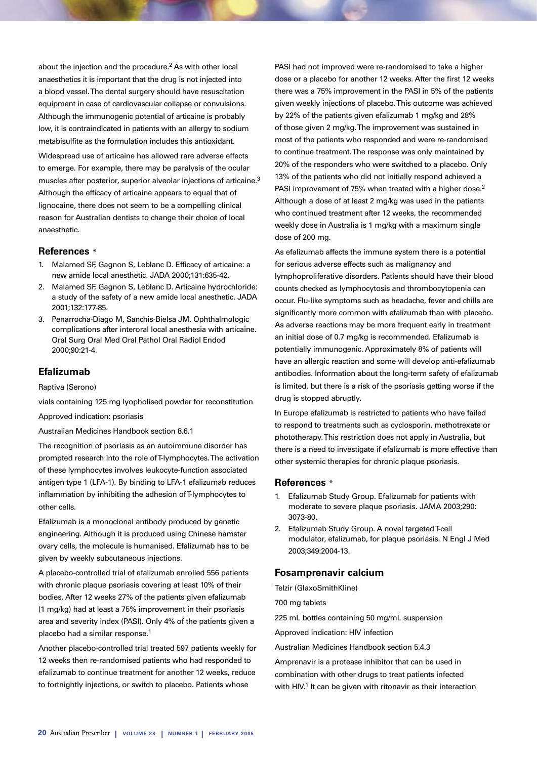about the injection and the procedure.2 As with other local anaesthetics it is important that the drug is not injected into a blood vessel. The dental surgery should have resuscitation equipment in case of cardiovascular collapse or convulsions. Although the immunogenic potential of articaine is probably low, it is contraindicated in patients with an allergy to sodium metabisulfite as the formulation includes this antioxidant.

Widespread use of articaine has allowed rare adverse effects to emerge. For example, there may be paralysis of the ocular muscles after posterior, superior alveolar injections of articaine.<sup>3</sup> Although the efficacy of articaine appears to equal that of lignocaine, there does not seem to be a compelling clinical reason for Australian dentists to change their choice of local anaesthetic.

## **References** \*

- 1. Malamed SF, Gagnon S, Leblanc D. Efficacy of articaine: a new amide local anesthetic. JADA 2000;131:635-42.
- 2. Malamed SF, Gagnon S, Leblanc D. Articaine hydrochloride: a study of the safety of a new amide local anesthetic. JADA 2001;132:177-85.
- 3. Penarrocha-Diago M, Sanchis-Bielsa JM. Ophthalmologic complications after interoral local anesthesia with articaine. Oral Surg Oral Med Oral Pathol Oral Radiol Endod 2000;90:21-4.

# **Efalizumab**

Raptiva (Serono)

vials containing 125 mg lyopholised powder for reconstitution

Approved indication: psoriasis

Australian Medicines Handbook section 8.6.1

The recognition of psoriasis as an autoimmune disorder has prompted research into the role of T-lymphocytes. The activation of these lymphocytes involves leukocyte-function associated antigen type 1 (LFA-1). By binding to LFA-1 efalizumab reduces inflammation by inhibiting the adhesion of T-lymphocytes to other cells.

Efalizumab is a monoclonal antibody produced by genetic engineering. Although it is produced using Chinese hamster ovary cells, the molecule is humanised. Efalizumab has to be given by weekly subcutaneous injections.

A placebo-controlled trial of efalizumab enrolled 556 patients with chronic plaque psoriasis covering at least 10% of their bodies. After 12 weeks 27% of the patients given efalizumab (1 mg/kg) had at least a 75% improvement in their psoriasis area and severity index (PASI). Only 4% of the patients given a placebo had a similar response.1

Another placebo-controlled trial treated 597 patients weekly for 12 weeks then re-randomised patients who had responded to efalizumab to continue treatment for another 12 weeks, reduce to fortnightly injections, or switch to placebo. Patients whose

PASI had not improved were re-randomised to take a higher dose or a placebo for another 12 weeks. After the first 12 weeks there was a 75% improvement in the PASI in 5% of the patients given weekly injections of placebo. This outcome was achieved by 22% of the patients given efalizumab 1 mg/kg and 28% of those given 2 mg/kg. The improvement was sustained in most of the patients who responded and were re-randomised to continue treatment. The response was only maintained by 20% of the responders who were switched to a placebo. Only 13% of the patients who did not initially respond achieved a PASI improvement of 75% when treated with a higher dose.<sup>2</sup> Although a dose of at least 2 mg/kg was used in the patients who continued treatment after 12 weeks, the recommended weekly dose in Australia is 1 mg/kg with a maximum single dose of 200 mg.

As efalizumab affects the immune system there is a potential for serious adverse effects such as malignancy and lymphoproliferative disorders. Patients should have their blood counts checked as lymphocytosis and thrombocytopenia can occur. Flu-like symptoms such as headache, fever and chills are significantly more common with efalizumab than with placebo. As adverse reactions may be more frequent early in treatment an initial dose of 0.7 mg/kg is recommended. Efalizumab is potentially immunogenic. Approximately 8% of patients will have an allergic reaction and some will develop anti-efalizumab antibodies. Information about the long-term safety of efalizumab is limited, but there is a risk of the psoriasis getting worse if the drug is stopped abruptly.

In Europe efalizumab is restricted to patients who have failed to respond to treatments such as cyclosporin, methotrexate or phototherapy. This restriction does not apply in Australia, but there is a need to investigate if efalizumab is more effective than other systemic therapies for chronic plaque psoriasis.

#### **References** \*

- 1. Efalizumab Study Group. Efalizumab for patients with moderate to severe plaque psoriasis. JAMA 2003;290: 3073-80.
- 2. Efalizumab Study Group. A novel targeted T-cell modulator, efalizumab, for plaque psoriasis. N Engl J Med 2003;349:2004-13.

#### **Fosamprenavir calcium**

Telzir (GlaxoSmithKline)

700 mg tablets

225 mL bottles containing 50 mg/mL suspension

Approved indication: HIV infection

Australian Medicines Handbook section 5.4.3

Amprenavir is a protease inhibitor that can be used in combination with other drugs to treat patients infected with HIV.<sup>1</sup> It can be given with ritonavir as their interaction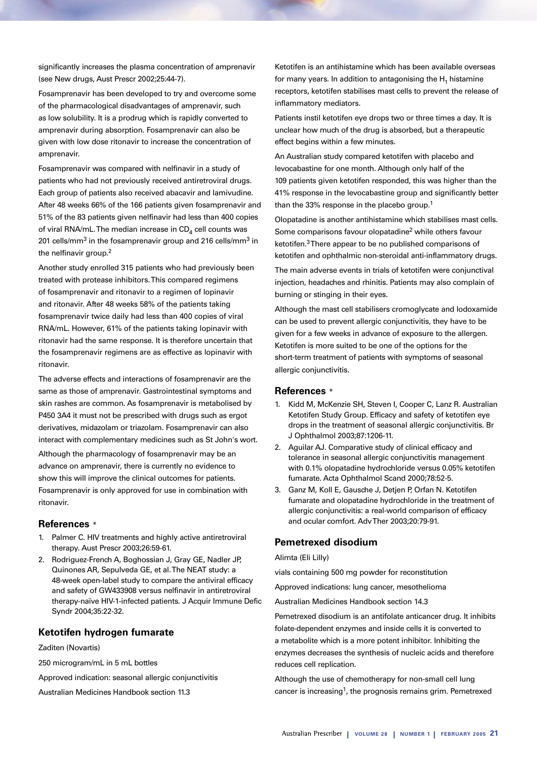significantly increases the plasma concentration of amprenavir (see New drugs, Aust Prescr 2002;25:44-7).

Fosamprenavir has been developed to try and overcome some of the pharmacological disadvantages of amprenavir, such as low solubility. It is a prodrug which is rapidly converted to amprenavir during absorption. Fosamprenavir can also be given with low dose ritonavir to increase the concentration of amprenavir.

Fosamprenavir was compared with nelfinavir in a study of patients who had not previously received antiretroviral drugs. Each group of patients also received abacavir and lamivudine. After 48 weeks 66% of the 166 patients given fosamprenavir and 51% of the 83 patients given nelfinavir had less than 400 copies of viral RNA/mL. The median increase in  $CD<sub>4</sub>$  cell counts was 201 cells/mm<sup>3</sup> in the fosamprenavir group and 216 cells/mm<sup>3</sup> in the nelfinavir group.2

Another study enrolled 315 patients who had previously been treated with protease inhibitors. This compared regimens of fosamprenavir and ritonavir to a regimen of lopinavir and ritonavir. After 48 weeks 58% of the patients taking fosamprenavir twice daily had less than 400 copies of viral RNA/mL. However, 61% of the patients taking lopinavir with ritonavir had the same response. It is therefore uncertain that the fosamprenavir regimens are as effective as lopinavir with ritonavir.

The adverse effects and interactions of fosamprenavir are the same as those of amprenavir. Gastrointestinal symptoms and skin rashes are common. As fosamprenavir is metabolised by P450 3A4 it must not be prescribed with drugs such as ergot derivatives, midazolam or triazolam. Fosamprenavir can also interact with complementary medicines such as St John's wort.

Although the pharmacology of fosamprenavir may be an advance on amprenavir, there is currently no evidence to show this will improve the clinical outcomes for patients. Fosamprenavir is only approved for use in combination with ritonavir.

#### **References** \*

- 1. Palmer C. HIV treatments and highly active antiretroviral therapy. Aust Prescr 2003;26:59-61.
- 2. Rodriguez-French A, Boghossian J, Gray GE, Nadler JP, Quinones AR, Sepulveda GE, et al. The NEAT study: a 48-week open-label study to compare the antiviral efficacy and safety of GW433908 versus nelfinavir in antiretroviral therapy-naïve HIV-1-infected patients. J Acquir Immune Defic Syndr 2004;35:22-32.

# **Ketotifen hydrogen fumarate**

Zaditen (Novartis)

250 microgram/mL in 5 mL bottles

Approved indication: seasonal allergic conjunctivitis

Australian Medicines Handbook section 11.3

Ketotifen is an antihistamine which has been available overseas for many years. In addition to antagonising the  $H_1$  histamine receptors, ketotifen stabilises mast cells to prevent the release of inflammatory mediators.

Patients instil ketotifen eye drops two or three times a day. It is unclear how much of the drug is absorbed, but a therapeutic effect begins within a few minutes.

An Australian study compared ketotifen with placebo and levocabastine for one month. Although only half of the 109 patients given ketotifen responded, this was higher than the 41% response in the levocabastine group and significantly better than the 33% response in the placebo group.<sup>1</sup>

Olopatadine is another antihistamine which stabilises mast cells. Some comparisons favour olopatadine<sup>2</sup> while others favour ketotifen.3 There appear to be no published comparisons of ketotifen and ophthalmic non-steroidal anti-inflammatory drugs.

The main adverse events in trials of ketotifen were conjunctival injection, headaches and rhinitis. Patients may also complain of burning or stinging in their eyes.

Although the mast cell stabilisers cromoglycate and lodoxamide can be used to prevent allergic conjunctivitis, they have to be given for a few weeks in advance of exposure to the allergen. Ketotifen is more suited to be one of the options for the short-term treatment of patients with symptoms of seasonal allergic conjunctivitis.

#### **References** \*

- 1. Kidd M, McKenzie SH, Steven I, Cooper C, Lanz R. Australian Ketotifen Study Group. Efficacy and safety of ketotifen eye drops in the treatment of seasonal allergic conjunctivitis. Br J Ophthalmol 2003;87:1206-11.
- 2. Aguilar AJ. Comparative study of clinical efficacy and tolerance in seasonal allergic conjunctivitis management with 0.1% olopatadine hydrochloride versus 0.05% ketotifen fumarate. Acta Ophthalmol Scand 2000;78:52-5.
- 3. Ganz M, Koll E, Gausche J, Detjen P, Orfan N. Ketotifen fumarate and olopatadine hydrochloride in the treatment of allergic conjunctivitis: a real-world comparison of efficacy and ocular comfort. Adv Ther 2003;20:79-91.

#### **Pemetrexed disodium**

#### Alimta (Eli Lilly)

vials containing 500 mg powder for reconstitution

Approved indications: lung cancer, mesothelioma

Australian Medicines Handbook section 14.3

Pemetrexed disodium is an antifolate anticancer drug. It inhibits folate-dependent enzymes and inside cells it is converted to a metabolite which is a more potent inhibitor. Inhibiting the enzymes decreases the synthesis of nucleic acids and therefore reduces cell replication.

Although the use of chemotherapy for non-small cell lung cancer is increasing<sup>1</sup>, the prognosis remains grim. Pemetrexed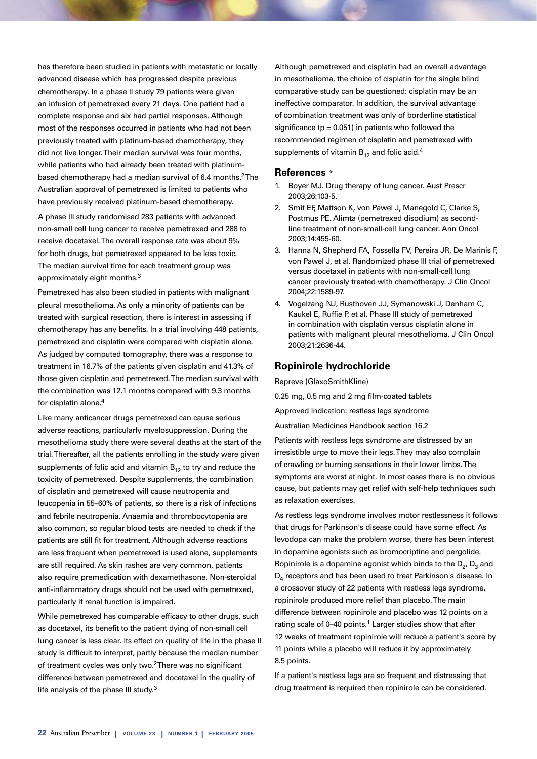has therefore been studied in patients with metastatic or locally advanced disease which has progressed despite previous chemotherapy. In a phase II study 79 patients were given an infusion of pemetrexed every 21 days. One patient had a complete response and six had partial responses. Although most of the responses occurred in patients who had not been previously treated with platinum-based chemotherapy, they did not live longer. Their median survival was four months, while patients who had already been treated with platinumbased chemotherapy had a median survival of 6.4 months.<sup>2</sup> The Australian approval of pemetrexed is limited to patients who have previously received platinum-based chemotherapy.

A phase III study randomised 283 patients with advanced non-small cell lung cancer to receive pemetrexed and 288 to receive docetaxel. The overall response rate was about 9% for both drugs, but pemetrexed appeared to be less toxic. The median survival time for each treatment group was approximately eight months.3

Pemetrexed has also been studied in patients with malignant pleural mesothelioma. As only a minority of patients can be treated with surgical resection, there is interest in assessing if chemotherapy has any benefits. In a trial involving 448 patients, pemetrexed and cisplatin were compared with cisplatin alone. As judged by computed tomography, there was a response to treatment in 16.7% of the patients given cisplatin and 41.3% of those given cisplatin and pemetrexed. The median survival with the combination was 12.1 months compared with 9.3 months for cisplatin alone.4

Like many anticancer drugs pemetrexed can cause serious adverse reactions, particularly myelosuppression. During the mesothelioma study there were several deaths at the start of the trial. Thereafter, all the patients enrolling in the study were given supplements of folic acid and vitamin  $B_{12}$  to try and reduce the toxicity of pemetrexed. Despite supplements, the combination of cisplatin and pemetrexed will cause neutropenia and leucopenia in 55–60% of patients, so there is a risk of infections and febrile neutropenia. Anaemia and thrombocytopenia are also common, so regular blood tests are needed to check if the patients are still fit for treatment. Although adverse reactions are less frequent when pemetrexed is used alone, supplements are still required. As skin rashes are very common, patients also require premedication with dexamethasone. Non-steroidal anti-inflammatory drugs should not be used with pemetrexed, particularly if renal function is impaired.

While pemetrexed has comparable efficacy to other drugs, such as docetaxel, its benefit to the patient dying of non-small cell lung cancer is less clear. Its effect on quality of life in the phase II study is difficult to interpret, partly because the median number of treatment cycles was only two.<sup>2</sup> There was no significant difference between pemetrexed and docetaxel in the quality of life analysis of the phase III study.3

Although pemetrexed and cisplatin had an overall advantage in mesothelioma, the choice of cisplatin for the single blind comparative study can be questioned: cisplatin may be an ineffective comparator. In addition, the survival advantage of combination treatment was only of borderline statistical significance ( $p = 0.051$ ) in patients who followed the recommended regimen of cisplatin and pemetrexed with supplements of vitamin  $B_{12}$  and folic acid.<sup>4</sup>

# **References** \*

- 1. Boyer MJ. Drug therapy of lung cancer. Aust Prescr 2003;26:103-5.
- 2. Smit EF, Mattson K, von Pawel J, Manegold C, Clarke S, Postmus PE. Alimta (pemetrexed disodium) as secondline treatment of non-small-cell lung cancer. Ann Oncol 2003;14:455-60.
- 3. Hanna N, Shepherd FA, Fossella FV, Pereira JR, De Marinis F, von Pawel J, et al. Randomized phase III trial of pemetrexed versus docetaxel in patients with non-small-cell lung cancer previously treated with chemotherapy. J Clin Oncol 2004;22:1589-97.
- 4. Vogelzang NJ, Rusthoven JJ, Symanowski J, Denham C, Kaukel E, Ruffie P, et al. Phase III study of pemetrexed in combination with cisplatin versus cisplatin alone in patients with malignant pleural mesothelioma. J Clin Oncol 2003;21:2636-44.

#### **Ropinirole hydrochloride**

Repreve (GlaxoSmithKline)

0.25 mg, 0.5 mg and 2 mg film-coated tablets

Approved indication: restless legs syndrome

Australian Medicines Handbook section 16.2

Patients with restless legs syndrome are distressed by an irresistible urge to move their legs. They may also complain of crawling or burning sensations in their lower limbs. The symptoms are worst at night. In most cases there is no obvious cause, but patients may get relief with self-help techniques such as relaxation exercises.

As restless legs syndrome involves motor restlessness it follows that drugs for Parkinson's disease could have some effect. As levodopa can make the problem worse, there has been interest in dopamine agonists such as bromocriptine and pergolide. Ropinirole is a dopamine agonist which binds to the  $D_2$ ,  $D_3$  and D<sub>4</sub> receptors and has been used to treat Parkinson's disease. In a crossover study of 22 patients with restless legs syndrome, ropinirole produced more relief than placebo. The main difference between ropinirole and placebo was 12 points on a rating scale of 0-40 points.<sup>1</sup> Larger studies show that after 12 weeks of treatment ropinirole will reduce a patient's score by 11 points while a placebo will reduce it by approximately 8.5 points.

If a patient's restless legs are so frequent and distressing that drug treatment is required then ropinirole can be considered.